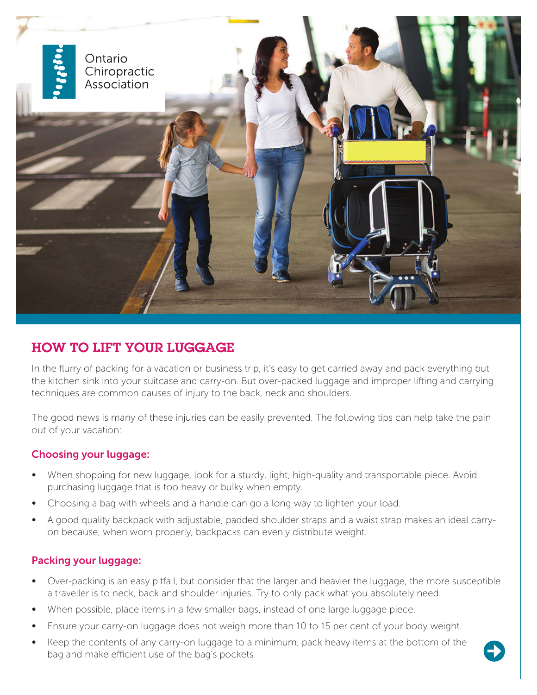

# HOW TO LIFT YOUR LUGGAGE

In the flurry of packing for a vacation or business trip, it's easy to get carried away and pack everything but the kitchen sink into your suitcase and carry-on. But over-packed luggage and improper lifting and carrying techniques are common causes of injury to the back, neck and shoulders.

The good news is many of these injuries can be easily prevented. The following tips can help take the pain out of your vacation:

### Choosing your luggage:

- When shopping for new luggage, look for a sturdy, light, high-quality and transportable piece. Avoid purchasing luggage that is too heavy or bulky when empty.
- Choosing a bag with wheels and a handle can go a long way to lighten your load.
- A good quality backpack with adjustable, padded shoulder straps and a waist strap makes an ideal carryon because, when worn properly, backpacks can evenly distribute weight.

### Packing your luggage:

- Over-packing is an easy pitfall, but consider that the larger and heavier the luggage, the more susceptible a traveller is to neck, back and shoulder injuries. Try to only pack what you absolutely need.
- When possible, place items in a few smaller bags, instead of one large luggage piece.
- Ensure your carry-on luggage does not weigh more than 10 to 15 per cent of your body weight.
- Keep the contents of any carry-on luggage to a minimum, pack heavy items at the bottom of the bag and make efficient use of the bag's pockets.